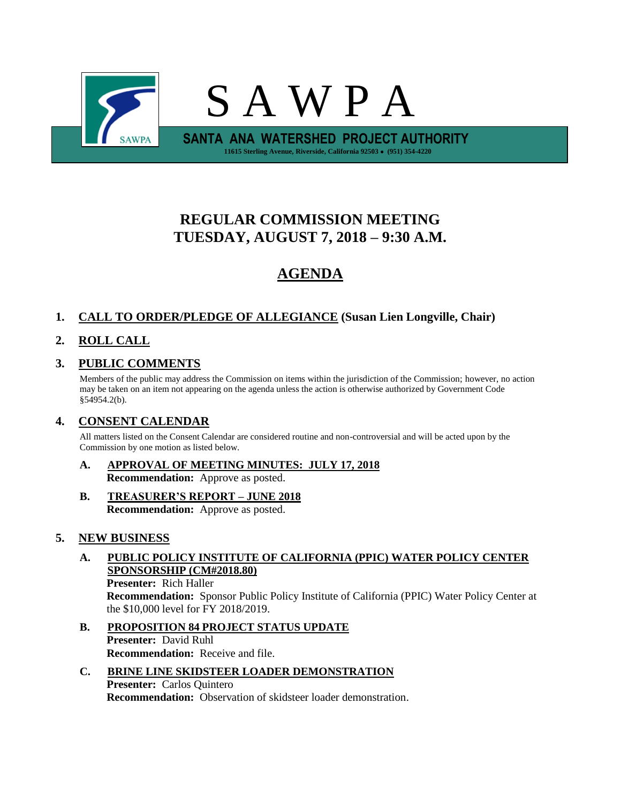

# **REGULAR COMMISSION MEETING TUESDAY, AUGUST 7, 2018 – 9:30 A.M.**

# **AGENDA**

## **1. CALL TO ORDER/PLEDGE OF ALLEGIANCE (Susan Lien Longville, Chair)**

# **2. ROLL CALL**

# **3. PUBLIC COMMENTS**

Members of the public may address the Commission on items within the jurisdiction of the Commission; however, no action may be taken on an item not appearing on the agenda unless the action is otherwise authorized by Government Code §54954.2(b).

### **4. CONSENT CALENDAR**

All matters listed on the Consent Calendar are considered routine and non-controversial and will be acted upon by the Commission by one motion as listed below.

- **A. APPROVAL OF MEETING MINUTES: JULY 17, 2018 Recommendation:** Approve as posted.
- **B. TREASURER'S REPORT – JUNE 2018 Recommendation:** Approve as posted.

### **5. NEW BUSINESS**

**A. PUBLIC POLICY INSTITUTE OF CALIFORNIA (PPIC) WATER POLICY CENTER SPONSORSHIP (CM#2018.80) Presenter:** Rich Haller

**Recommendation:** Sponsor Public Policy Institute of California (PPIC) Water Policy Center at the \$10,000 level for FY 2018/2019.

- **B. PROPOSITION 84 PROJECT STATUS UPDATE Presenter:** David Ruhl **Recommendation:** Receive and file.
- **C. BRINE LINE SKIDSTEER LOADER DEMONSTRATION Presenter:** Carlos Quintero **Recommendation:** Observation of skidsteer loader demonstration.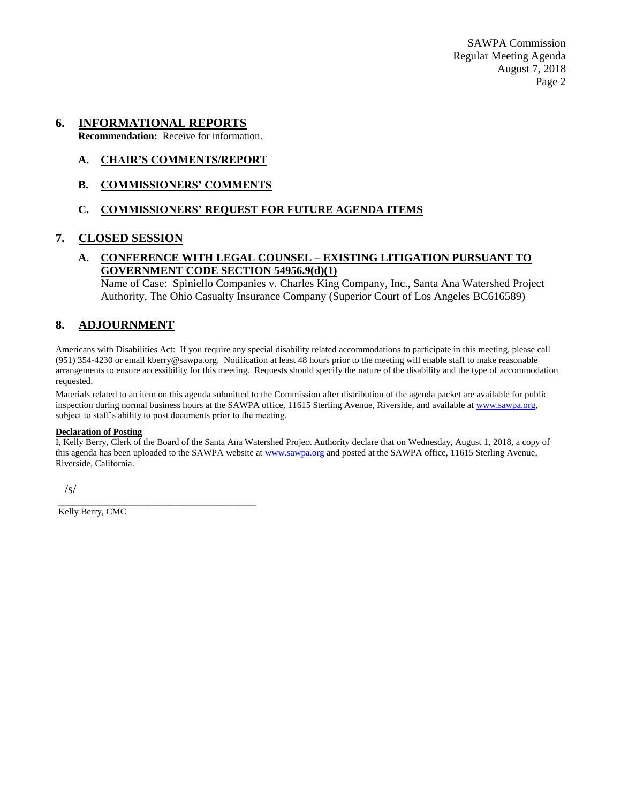SAWPA Commission Regular Meeting Agenda August 7, 2018 Page 2

#### **6. INFORMATIONAL REPORTS**

**Recommendation:** Receive for information.

#### **A. CHAIR'S COMMENTS/REPORT**

**B. COMMISSIONERS' COMMENTS**

#### **C. COMMISSIONERS' REQUEST FOR FUTURE AGENDA ITEMS**

#### **7. CLOSED SESSION**

#### **A. CONFERENCE WITH LEGAL COUNSEL – EXISTING LITIGATION PURSUANT TO GOVERNMENT CODE SECTION 54956.9(d)(1)**

Name of Case: Spiniello Companies v. Charles King Company, Inc., Santa Ana Watershed Project Authority, The Ohio Casualty Insurance Company (Superior Court of Los Angeles BC616589)

#### **8. ADJOURNMENT**

Americans with Disabilities Act: If you require any special disability related accommodations to participate in this meeting, please call (951) 354-4230 or email kberry@sawpa.org. Notification at least 48 hours prior to the meeting will enable staff to make reasonable arrangements to ensure accessibility for this meeting. Requests should specify the nature of the disability and the type of accommodation requested.

Materials related to an item on this agenda submitted to the Commission after distribution of the agenda packet are available for public inspection during normal business hours at the SAWPA office, 11615 Sterling Avenue, Riverside, and available a[t www.sawpa.org,](http://www.sawpa.org/) subject to staff's ability to post documents prior to the meeting.

#### **Declaration of Posting**

I, Kelly Berry, Clerk of the Board of the Santa Ana Watershed Project Authority declare that on Wednesday, August 1, 2018, a copy of this agenda has been uploaded to the SAWPA website at [www.sawpa.org](http://www.sawpa.org/) and posted at the SAWPA office, 11615 Sterling Avenue, Riverside, California.

/s/

Kelly Berry, CMC

\_\_\_\_\_\_\_\_\_\_\_\_\_\_\_\_\_\_\_\_\_\_\_\_\_\_\_\_\_\_\_\_\_\_\_\_\_\_\_